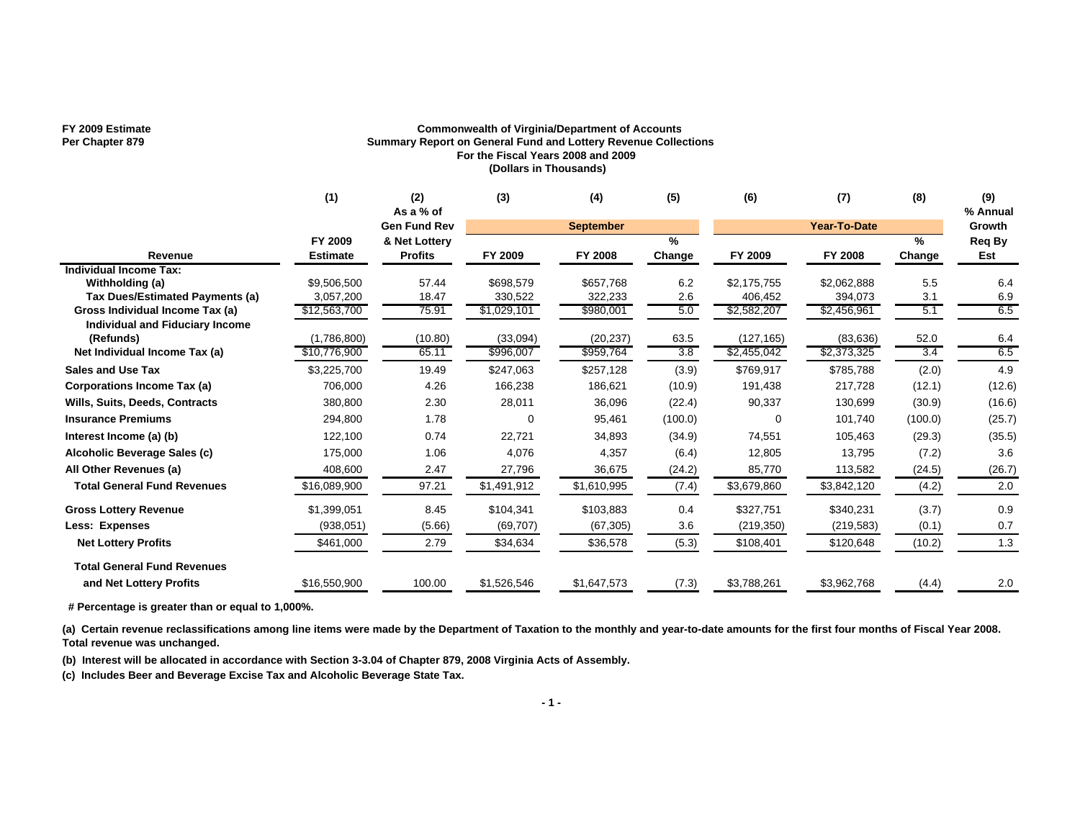### **FY 2009 Estimate Commonwealth of Virginia/Department of Accounts Summary Report on General Fund and Lottery Revenue Collections For the Fiscal Years 2008 and 2009 (Dollars in Thousands)**

|                                              | (1)                        | (2)<br>As a % of                | (3)         | (4)              | (5)                     | (6)         | (7)          | (8)            | (9)<br>% Annual |
|----------------------------------------------|----------------------------|---------------------------------|-------------|------------------|-------------------------|-------------|--------------|----------------|-----------------|
|                                              |                            | <b>Gen Fund Rev</b>             |             | <b>September</b> |                         |             | Year-To-Date |                | Growth          |
| Revenue                                      | FY 2009<br><b>Estimate</b> | & Net Lottery<br><b>Profits</b> | FY 2009     | FY 2008          | $\frac{9}{6}$<br>Change | FY 2009     | FY 2008      | $\%$<br>Change | Req By<br>Est   |
| Individual Income Tax:                       |                            |                                 |             |                  |                         |             |              |                |                 |
| Withholding (a)                              | \$9,506,500                | 57.44                           | \$698,579   | \$657,768        | 6.2                     | \$2,175,755 | \$2,062,888  | 5.5            | 6.4             |
| Tax Dues/Estimated Payments (a)              | 3,057,200                  | 18.47                           | 330,522     | 322,233          | 2.6                     | 406,452     | 394,073      | 3.1            | 6.9             |
| Gross Individual Income Tax (a)              | \$12,563,700               | 75.91                           | \$1,029,101 | \$980,001        | 5.0                     | \$2,582,207 | \$2,456,961  | 5.1            | 6.5             |
| Individual and Fiduciary Income<br>(Refunds) | (1,786,800)                | (10.80)                         | (33,094)    | (20, 237)        | 63.5                    | (127, 165)  | (83, 636)    | 52.0           | 6.4             |
| Net Individual Income Tax (a)                | \$10,776,900               | 65.11                           | \$996,007   | \$959,764        | 3.8                     | \$2,455,042 | \$2,373,325  | 3.4            | 6.5             |
| <b>Sales and Use Tax</b>                     | \$3,225,700                | 19.49                           | \$247,063   | \$257,128        | (3.9)                   | \$769,917   | \$785,788    | (2.0)          | 4.9             |
| Corporations Income Tax (a)                  | 706,000                    | 4.26                            | 166,238     | 186,621          | (10.9)                  | 191,438     | 217,728      | (12.1)         | (12.6)          |
| <b>Wills, Suits, Deeds, Contracts</b>        | 380,800                    | 2.30                            | 28,011      | 36,096           | (22.4)                  | 90,337      | 130,699      | (30.9)         | (16.6)          |
| <b>Insurance Premiums</b>                    | 294,800                    | 1.78                            | $\Omega$    | 95,461           | (100.0)                 | $\Omega$    | 101,740      | (100.0)        | (25.7)          |
| Interest Income (a) (b)                      | 122,100                    | 0.74                            | 22,721      | 34,893           | (34.9)                  | 74,551      | 105,463      | (29.3)         | (35.5)          |
| Alcoholic Beverage Sales (c)                 | 175,000                    | 1.06                            | 4,076       | 4,357            | (6.4)                   | 12,805      | 13,795       | (7.2)          | 3.6             |
| All Other Revenues (a)                       | 408,600                    | 2.47                            | 27,796      | 36,675           | (24.2)                  | 85,770      | 113,582      | (24.5)         | (26.7)          |
| <b>Total General Fund Revenues</b>           | \$16,089,900               | 97.21                           | \$1,491,912 | \$1,610,995      | (7.4)                   | \$3,679,860 | \$3,842,120  | (4.2)          | 2.0             |
| <b>Gross Lottery Revenue</b>                 | \$1,399,051                | 8.45                            | \$104,341   | \$103,883        | 0.4                     | \$327,751   | \$340,231    | (3.7)          | 0.9             |
| <b>Less: Expenses</b>                        | (938, 051)                 | (5.66)                          | (69, 707)   | (67, 305)        | 3.6                     | (219, 350)  | (219, 583)   | (0.1)          | 0.7             |
| <b>Net Lottery Profits</b>                   | \$461,000                  | 2.79                            | \$34,634    | \$36,578         | (5.3)                   | \$108,401   | \$120,648    | (10.2)         | 1.3             |
| <b>Total General Fund Revenues</b>           |                            |                                 |             |                  |                         |             |              |                |                 |
| and Net Lottery Profits                      | \$16,550,900               | 100.00                          | \$1,526,546 | \$1,647,573      | (7.3)                   | \$3,788,261 | \$3,962,768  | (4.4)          | 2.0             |

 **# Percentage is greater than or equal to 1,000%.**

(a) Certain revenue reclassifications among line items were made by the Department of Taxation to the monthly and year-to-date amounts for the first four months of Fiscal Year 2008. **Total revenue was unchanged.**

**(b) Interest will be allocated in accordance with Section 3-3.04 of Chapter 879, 2008 Virginia Acts of Assembly.**

**(c) Includes Beer and Beverage Excise Tax and Alcoholic Beverage State Tax.**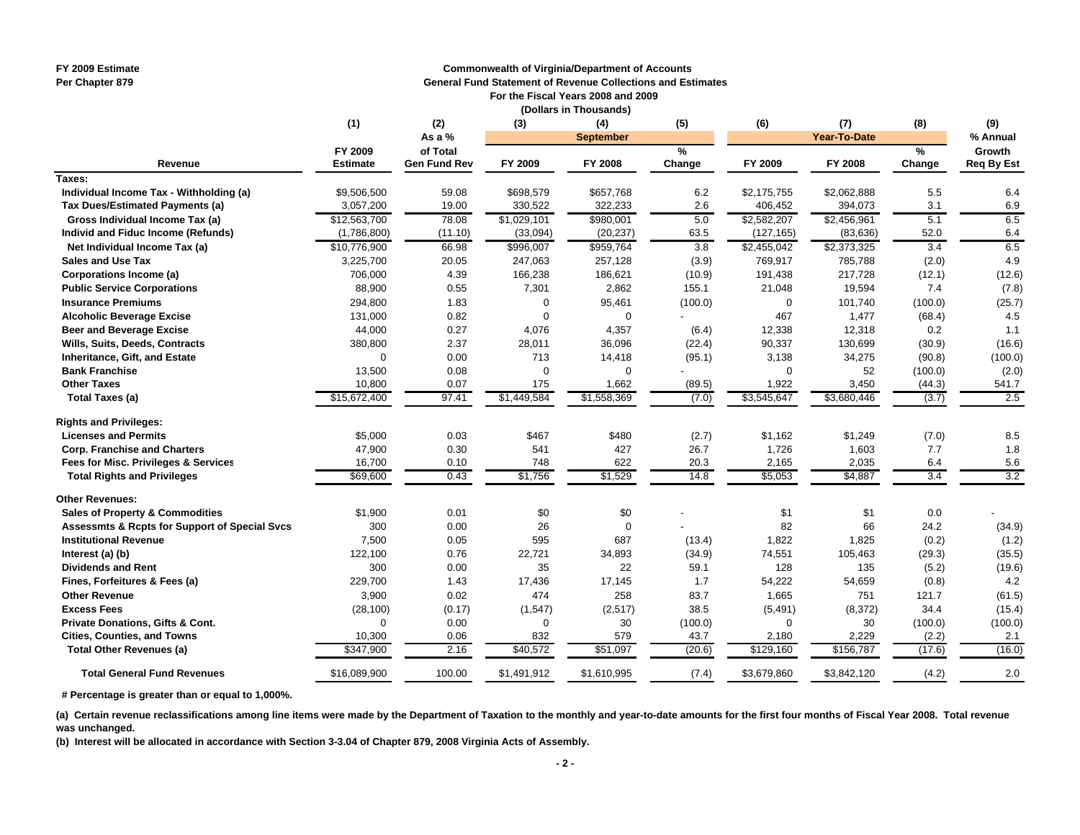# **FY 2009 Estimate Commonwealth of Virginia/Department of Accounts**

**Per Chapter 879 General Fund Statement of Revenue Collections and Estimates**

 **For the Fiscal Years 2008 and 2009 (Dollars in Thousands)**

|                                                          | (1)             | (2)                 | (3)         | (4)         | (5)              | (6)         | (7)                     | (8)     | (9)               |
|----------------------------------------------------------|-----------------|---------------------|-------------|-------------|------------------|-------------|-------------------------|---------|-------------------|
|                                                          |                 | As a %              |             |             | <b>September</b> |             | Year-To-Date            |         | % Annual          |
|                                                          | FY 2009         | of Total            |             |             | %                |             |                         | $\%$    | Growth            |
| Revenue                                                  | <b>Estimate</b> | <b>Gen Fund Rev</b> | FY 2009     | FY 2008     | Change           | FY 2009     | FY 2008                 | Change  | <b>Req By Est</b> |
| Taxes:                                                   |                 |                     |             |             |                  |             |                         |         |                   |
| Individual Income Tax - Withholding (a)                  | \$9,506,500     | 59.08               | \$698,579   | \$657,768   | 6.2              | \$2,175,755 | \$2,062,888             | 5.5     | 6.4               |
| Tax Dues/Estimated Payments (a)                          | 3,057,200       | 19.00               | 330,522     | 322,233     | 2.6              | 406,452     | 394,073                 | 3.1     | 6.9               |
| Gross Individual Income Tax (a)                          | \$12,563,700    | 78.08               | \$1,029,101 | \$980,001   | 5.0              | \$2,582,207 | \$2,456,961             | 5.1     | 6.5               |
| Individ and Fiduc Income (Refunds)                       | (1,786,800)     | (11.10)             | (33,094)    | (20, 237)   | 63.5             | (127, 165)  | (83, 636)               | 52.0    | 6.4               |
| Net Individual Income Tax (a)                            | \$10,776,900    | 66.98               | \$996,007   | \$959,764   | 3.8              | \$2,455,042 | $\overline{$2,373,325}$ | 3.4     | 6.5               |
| <b>Sales and Use Tax</b>                                 | 3,225,700       | 20.05               | 247,063     | 257,128     | (3.9)            | 769,917     | 785,788                 | (2.0)   | 4.9               |
| Corporations Income (a)                                  | 706,000         | 4.39                | 166,238     | 186,621     | (10.9)           | 191,438     | 217,728                 | (12.1)  | (12.6)            |
| <b>Public Service Corporations</b>                       | 88,900          | 0.55                | 7,301       | 2,862       | 155.1            | 21,048      | 19,594                  | 7.4     | (7.8)             |
| <b>Insurance Premiums</b>                                | 294,800         | 1.83                | 0           | 95,461      | (100.0)          | 0           | 101,740                 | (100.0) | (25.7)            |
| <b>Alcoholic Beverage Excise</b>                         | 131,000         | 0.82                | 0           | $\Omega$    |                  | 467         | 1,477                   | (68.4)  | 4.5               |
| <b>Beer and Beverage Excise</b>                          | 44,000          | 0.27                | 4,076       | 4,357       | (6.4)            | 12,338      | 12,318                  | 0.2     | 1.1               |
| Wills, Suits, Deeds, Contracts                           | 380,800         | 2.37                | 28,011      | 36,096      | (22.4)           | 90,337      | 130,699                 | (30.9)  | (16.6)            |
| Inheritance, Gift, and Estate                            | $\Omega$        | 0.00                | 713         | 14,418      | (95.1)           | 3,138       | 34,275                  | (90.8)  | (100.0)           |
| <b>Bank Franchise</b>                                    | 13,500          | 0.08                | 0           | $\Omega$    |                  | 0           | 52                      | (100.0) | (2.0)             |
| <b>Other Taxes</b>                                       | 10,800          | 0.07                | 175         | 1,662       | (89.5)           | 1,922       | 3,450                   | (44.3)  | 541.7             |
| <b>Total Taxes (a)</b>                                   | \$15,672,400    | 97.41               | \$1,449,584 | \$1,558,369 | (7.0)            | \$3,545,647 | \$3,680,446             | (3.7)   | 2.5               |
| <b>Rights and Privileges:</b>                            |                 |                     |             |             |                  |             |                         |         |                   |
| <b>Licenses and Permits</b>                              | \$5,000         | 0.03                | \$467       | \$480       | (2.7)            | \$1,162     | \$1,249                 | (7.0)   | 8.5               |
| <b>Corp. Franchise and Charters</b>                      | 47,900          | 0.30                | 541         | 427         | 26.7             | 1,726       | 1,603                   | 7.7     | 1.8               |
| Fees for Misc. Privileges & Services                     | 16,700          | 0.10                | 748         | 622         | 20.3             | 2,165       | 2,035                   | 6.4     | 5.6               |
| <b>Total Rights and Privileges</b>                       | \$69,600        | 0.43                | \$1,756     | \$1,529     | 14.8             | \$5,053     | \$4,887                 | 3.4     | 3.2               |
| <b>Other Revenues:</b>                                   |                 |                     |             |             |                  |             |                         |         |                   |
| <b>Sales of Property &amp; Commodities</b>               | \$1,900         | 0.01                | \$0         | \$0         |                  | \$1         | \$1                     | 0.0     |                   |
| <b>Assessmts &amp; Rcpts for Support of Special Svcs</b> | 300             | 0.00                | 26          | $\Omega$    |                  | 82          | 66                      | 24.2    | (34.9)            |
| <b>Institutional Revenue</b>                             | 7,500           | 0.05                | 595         | 687         | (13.4)           | 1,822       | 1,825                   | (0.2)   | (1.2)             |
| Interest (a) (b)                                         | 122,100         | 0.76                | 22,721      | 34,893      | (34.9)           | 74,551      | 105,463                 | (29.3)  | (35.5)            |
| <b>Dividends and Rent</b>                                | 300             | 0.00                | 35          | 22          | 59.1             | 128         | 135                     | (5.2)   | (19.6)            |
| Fines, Forfeitures & Fees (a)                            | 229,700         | 1.43                | 17,436      | 17,145      | 1.7              | 54,222      | 54,659                  | (0.8)   | 4.2               |
| <b>Other Revenue</b>                                     | 3,900           | 0.02                | 474         | 258         | 83.7             | 1,665       | 751                     | 121.7   | (61.5)            |
| <b>Excess Fees</b>                                       | (28, 100)       | (0.17)              | (1, 547)    | (2,517)     | 38.5             | (5, 491)    | (8,372)                 | 34.4    | (15.4)            |
| Private Donations, Gifts & Cont.                         | $\Omega$        | 0.00                | 0           | 30          | (100.0)          | $\Omega$    | 30                      | (100.0) | (100.0)           |

 **# Percentage is greater than or equal to 1,000%.**

 **Total General Fund Revenues**

**(a) Certain revenue reclassifications among line items were made by the Department of Taxation to the monthly and year-to-date amounts for the first four months of Fiscal Year 2008. Total revenue was unchanged.**

**Cities, Counties, and Towns 10,300** 0.06 832 579 43.7 2.180 2.229 (2.2) 2.1 **Total Other Revenues (a) 17.6 1847,900 2.16 540,572 551,097 5129,160 \$129,160 \$156,787** (17.6) (16.0)

**(b) Interest will be allocated in accordance with Section 3-3.04 of Chapter 879, 2008 Virginia Acts of Assembly.**

\$16,089,900 100.00 \$1,491,912 \$1,610,995 (7.4) \$3,679,860 \$3,842,120 (4.2) 2.0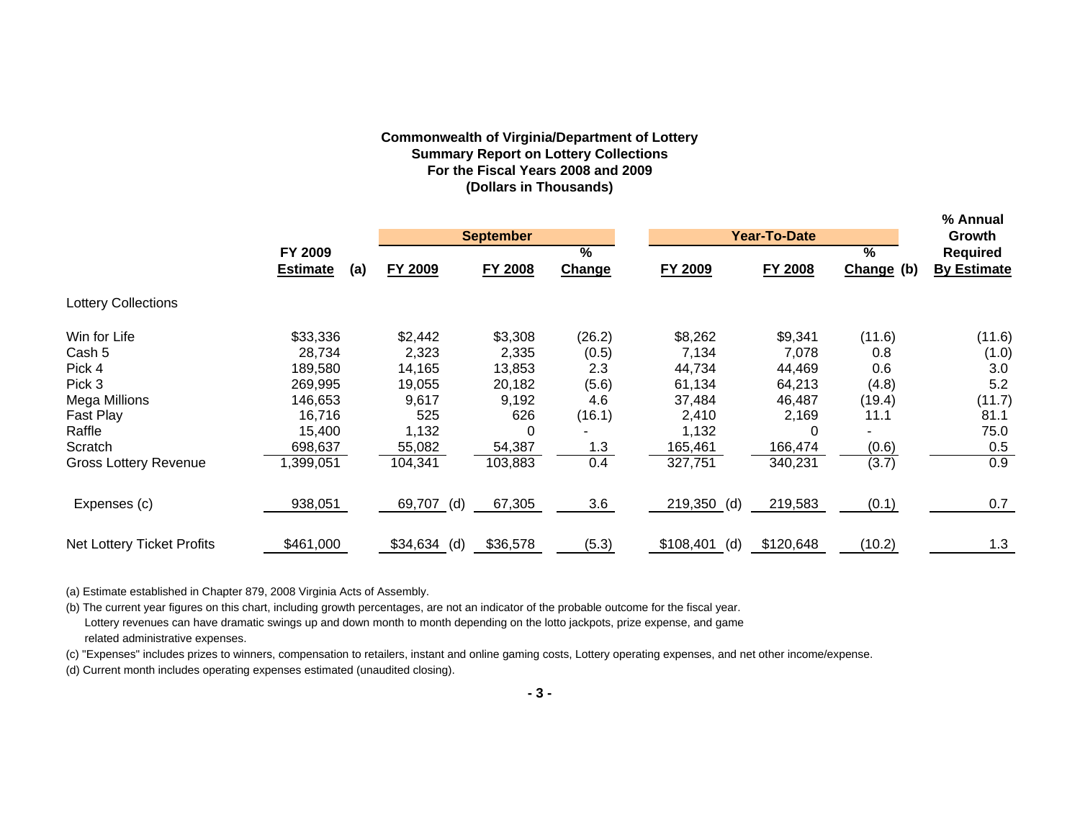# **Commonwealth of Virginia/Department of Lottery Summary Report on Lottery Collections For the Fiscal Years 2008 and 2009 (Dollars in Thousands)**

|                                   |                        |               |                  |        |                  |                |                 | % Annual           |
|-----------------------------------|------------------------|---------------|------------------|--------|------------------|----------------|-----------------|--------------------|
|                                   |                        |               | <b>September</b> |        |                  | Year-To-Date   |                 | Growth             |
|                                   | FY 2009                |               |                  | $\%$   |                  |                | $\overline{\%}$ | <b>Required</b>    |
|                                   | <b>Estimate</b><br>(a) | FY 2009       | <b>FY 2008</b>   | Change | FY 2009          | <b>FY 2008</b> | Change (b)      | <b>By Estimate</b> |
| <b>Lottery Collections</b>        |                        |               |                  |        |                  |                |                 |                    |
| Win for Life                      | \$33,336               | \$2,442       | \$3,308          | (26.2) | \$8,262          | \$9,341        | (11.6)          | (11.6)             |
| Cash 5                            | 28.734                 | 2,323         | 2,335            | (0.5)  | 7,134            | 7,078          | 0.8             | (1.0)              |
| Pick 4                            | 189,580                | 14,165        | 13,853           | 2.3    | 44,734           | 44,469         | 0.6             | 3.0                |
| Pick 3                            | 269,995                | 19,055        | 20,182           | (5.6)  | 61,134           | 64,213         | (4.8)           | 5.2                |
| Mega Millions                     | 146,653                | 9,617         | 9,192            | 4.6    | 37,484           | 46,487         | (19.4)          | (11.7)             |
| Fast Play                         | 16,716                 | 525           | 626              | (16.1) | 2,410            | 2,169          | 11.1            | 81.1               |
| Raffle                            | 15,400                 | 1,132         | 0                |        | 1,132            |                |                 | 75.0               |
| Scratch                           | 698,637                | 55,082        | 54,387           | 1.3    | 165,461          | 166,474        | (0.6)           | 0.5                |
| Gross Lottery Revenue             | ,399,051               | 104,341       | 103,883          | 0.4    | 327,751          | 340,231        | (3.7)           | 0.9                |
| Expenses (c)                      | 938,051                | 69,707 (d)    | 67,305           | 3.6    | 219,350 (d)      | 219,583        | (0.1)           | 0.7                |
| <b>Net Lottery Ticket Profits</b> | \$461,000              | $$34,634$ (d) | \$36,578         | (5.3)  | \$108,401<br>(d) | \$120,648      | (10.2)          | 1.3                |

(a) Estimate established in Chapter 879, 2008 Virginia Acts of Assembly.

(b) The current year figures on this chart, including growth percentages, are not an indicator of the probable outcome for the fiscal year. Lottery revenues can have dramatic swings up and down month to month depending on the lotto jackpots, prize expense, and game related administrative expenses.

(c) "Expenses" includes prizes to winners, compensation to retailers, instant and online gaming costs, Lottery operating expenses, and net other income/expense.

(d) Current month includes operating expenses estimated (unaudited closing).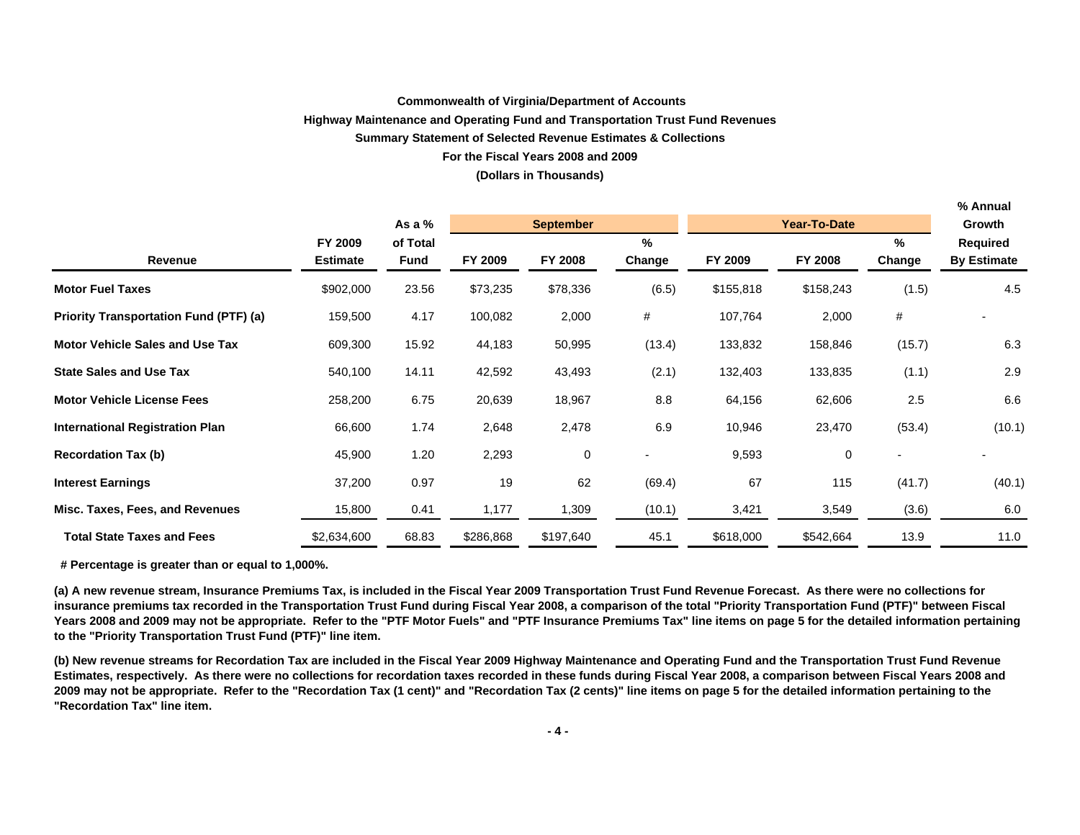#### **Commonwealth of Virginia/Department of Accounts**

#### **Highway Maintenance and Operating Fund and Transportation Trust Fund Revenues**

#### **Summary Statement of Selected Revenue Estimates & Collections**

#### **For the Fiscal Years 2008 and 2009**

#### **(Dollars in Thousands)**

**% Annual**

|                                               |                 |             |           |                  |        |           |                     |        | % Annual           |
|-----------------------------------------------|-----------------|-------------|-----------|------------------|--------|-----------|---------------------|--------|--------------------|
|                                               |                 | As a $%$    |           | <b>September</b> |        |           | <b>Year-To-Date</b> |        | Growth             |
|                                               | FY 2009         | of Total    |           |                  | %      |           |                     | %      | Required           |
| Revenue                                       | <b>Estimate</b> | <b>Fund</b> | FY 2009   | FY 2008          | Change | FY 2009   | FY 2008             | Change | <b>By Estimate</b> |
| <b>Motor Fuel Taxes</b>                       | \$902,000       | 23.56       | \$73,235  | \$78,336         | (6.5)  | \$155,818 | \$158,243           | (1.5)  | 4.5                |
| <b>Priority Transportation Fund (PTF) (a)</b> | 159,500         | 4.17        | 100,082   | 2,000            | #      | 107,764   | 2,000               | #      |                    |
| <b>Motor Vehicle Sales and Use Tax</b>        | 609,300         | 15.92       | 44,183    | 50,995           | (13.4) | 133,832   | 158,846             | (15.7) | 6.3                |
| <b>State Sales and Use Tax</b>                | 540,100         | 14.11       | 42,592    | 43,493           | (2.1)  | 132,403   | 133,835             | (1.1)  | 2.9                |
| <b>Motor Vehicle License Fees</b>             | 258,200         | 6.75        | 20,639    | 18,967           | 8.8    | 64,156    | 62,606              | 2.5    | 6.6                |
| <b>International Registration Plan</b>        | 66,600          | 1.74        | 2,648     | 2,478            | 6.9    | 10,946    | 23,470              | (53.4) | (10.1)             |
| <b>Recordation Tax (b)</b>                    | 45,900          | 1.20        | 2,293     | 0                |        | 9,593     | 0                   |        |                    |
| <b>Interest Earnings</b>                      | 37,200          | 0.97        | 19        | 62               | (69.4) | 67        | 115                 | (41.7) | (40.1)             |
| Misc. Taxes, Fees, and Revenues               | 15,800          | 0.41        | 1,177     | 1,309            | (10.1) | 3,421     | 3,549               | (3.6)  | 6.0                |
| <b>Total State Taxes and Fees</b>             | \$2,634,600     | 68.83       | \$286,868 | \$197,640        | 45.1   | \$618,000 | \$542,664           | 13.9   | 11.0               |

 **# Percentage is greater than or equal to 1,000%.**

**(a) A new revenue stream, Insurance Premiums Tax, is included in the Fiscal Year 2009 Transportation Trust Fund Revenue Forecast. As there were no collections for insurance premiums tax recorded in the Transportation Trust Fund during Fiscal Year 2008, a comparison of the total "Priority Transportation Fund (PTF)" between Fiscal Years 2008 and 2009 may not be appropriate. Refer to the "PTF Motor Fuels" and "PTF Insurance Premiums Tax" line items on page 5 for the detailed information pertaining to the "Priority Transportation Trust Fund (PTF)" line item.**

**(b) New revenue streams for Recordation Tax are included in the Fiscal Year 2009 Highway Maintenance and Operating Fund and the Transportation Trust Fund Revenue Estimates, respectively. As there were no collections for recordation taxes recorded in these funds during Fiscal Year 2008, a comparison between Fiscal Years 2008 and 2009 may not be appropriate. Refer to the "Recordation Tax (1 cent)" and "Recordation Tax (2 cents)" line items on page 5 for the detailed information pertaining to the "Recordation Tax" line item.**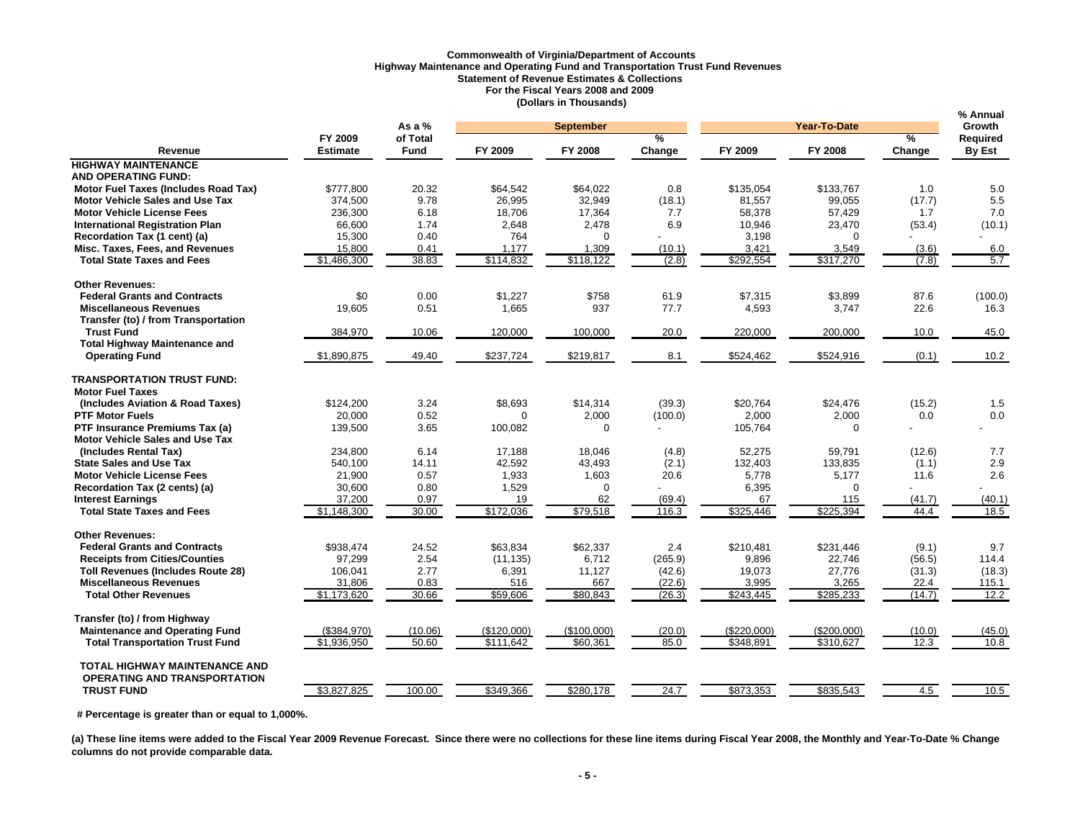## **Commonwealth of Virginia/Department of Accounts Highway Maintenance and Operating Fund and Transportation Trust Fund Revenues Statement of Revenue Estimates & Collections For the Fiscal Years 2008 and 2009 (Dollars in Thousands)**

|                                                   |                 | As a %      |             | <b>September</b> |         |             | Year-To-Date |               | % Annual<br>Growth |
|---------------------------------------------------|-----------------|-------------|-------------|------------------|---------|-------------|--------------|---------------|--------------------|
|                                                   | FY 2009         | of Total    |             |                  | $\%$    |             |              | $\frac{9}{6}$ | Required           |
| Revenue                                           | <b>Estimate</b> | <b>Fund</b> | FY 2009     | FY 2008          | Change  | FY 2009     | FY 2008      | Change        | By Est             |
| <b>HIGHWAY MAINTENANCE</b>                        |                 |             |             |                  |         |             |              |               |                    |
| <b>AND OPERATING FUND:</b>                        |                 |             |             |                  |         |             |              |               |                    |
| Motor Fuel Taxes (Includes Road Tax)              | \$777,800       | 20.32       | \$64,542    | \$64,022         | 0.8     | \$135,054   | \$133,767    | 1.0           | 5.0                |
| <b>Motor Vehicle Sales and Use Tax</b>            | 374,500         | 9.78        | 26,995      | 32,949           | (18.1)  | 81,557      | 99,055       | (17.7)        | 5.5                |
| <b>Motor Vehicle License Fees</b>                 | 236,300         | 6.18        | 18,706      | 17,364           | 7.7     | 58,378      | 57,429       | 1.7           | 7.0                |
| <b>International Registration Plan</b>            | 66,600          | 1.74        | 2,648       | 2,478            | 6.9     | 10,946      | 23,470       | (53.4)        | (10.1)             |
| Recordation Tax (1 cent) (a)                      | 15,300          | 0.40        | 764         | $\Omega$         |         | 3,198       | $\Omega$     |               |                    |
| Misc. Taxes, Fees, and Revenues                   | 15,800          | 0.41        | 1,177       | 1,309            | (10.1)  | 3,421       | 3,549        | (3.6)         | 6.0                |
| <b>Total State Taxes and Fees</b>                 | \$1,486,300     | 38.83       | \$114,832   | \$118,122        | (2.8)   | \$292,554   | \$317,270    | (7.8)         | 5.7                |
| <b>Other Revenues:</b>                            |                 |             |             |                  |         |             |              |               |                    |
| <b>Federal Grants and Contracts</b>               | \$0             | 0.00        | \$1,227     | \$758            | 61.9    | \$7,315     | \$3,899      | 87.6          | (100.0)            |
| <b>Miscellaneous Revenues</b>                     | 19,605          | 0.51        | 1,665       | 937              | 77.7    | 4,593       | 3,747        | 22.6          | 16.3               |
| Transfer (to) / from Transportation               |                 |             |             |                  |         |             |              |               |                    |
| <b>Trust Fund</b>                                 | 384,970         | 10.06       | 120,000     | 100,000          | 20.0    | 220,000     | 200,000      | 10.0          | 45.0               |
| <b>Total Highway Maintenance and</b>              |                 |             |             |                  |         |             |              |               |                    |
| <b>Operating Fund</b>                             | \$1,890,875     | 49.40       | \$237,724   | \$219,817        | 8.1     | \$524,462   | \$524,916    | (0.1)         | 10.2               |
| <b>TRANSPORTATION TRUST FUND:</b>                 |                 |             |             |                  |         |             |              |               |                    |
| <b>Motor Fuel Taxes</b>                           |                 |             |             |                  |         |             |              |               |                    |
| (Includes Aviation & Road Taxes)                  | \$124,200       | 3.24        | \$8,693     | \$14,314         | (39.3)  | \$20,764    | \$24,476     | (15.2)        | 1.5                |
| <b>PTF Motor Fuels</b>                            | 20,000          | 0.52        | $\Omega$    | 2,000            | (100.0) | 2,000       | 2,000        | 0.0           | 0.0                |
| PTF Insurance Premiums Tax (a)                    | 139,500         | 3.65        | 100,082     | $\Omega$         |         | 105,764     | $\mathbf 0$  |               |                    |
| <b>Motor Vehicle Sales and Use Tax</b>            |                 |             |             |                  |         |             |              |               |                    |
| (Includes Rental Tax)                             | 234,800         | 6.14        | 17,188      | 18,046           | (4.8)   | 52,275      | 59,791       | (12.6)        | 7.7                |
| <b>State Sales and Use Tax</b>                    | 540,100         | 14.11       | 42,592      | 43,493           | (2.1)   | 132,403     | 133,835      | (1.1)         | 2.9                |
| <b>Motor Vehicle License Fees</b>                 | 21,900          | 0.57        | 1,933       | 1,603            | 20.6    | 5,778       | 5,177        | 11.6          | 2.6                |
| Recordation Tax (2 cents) (a)                     | 30,600          | 0.80        | 1,529       | $\Omega$         |         | 6,395       | $\Omega$     |               |                    |
| <b>Interest Earnings</b>                          | 37,200          | 0.97        | 19          | 62               | (69.4)  | 67          | 115          | (41.7)        | (40.1)             |
| <b>Total State Taxes and Fees</b>                 | \$1,148,300     | 30.00       | \$172,036   | \$79,518         | 116.3   | \$325,446   | \$225,394    | 44.4          | 18.5               |
| <b>Other Revenues:</b>                            |                 |             |             |                  |         |             |              |               |                    |
| <b>Federal Grants and Contracts</b>               | \$938.474       | 24.52       | \$63,834    | \$62,337         | 2.4     | \$210,481   | \$231,446    | (9.1)         | 9.7                |
| <b>Receipts from Cities/Counties</b>              | 97,299          | 2.54        | (11, 135)   | 6,712            | (265.9) | 9.896       | 22,746       | (56.5)        | 114.4              |
| <b>Toll Revenues (Includes Route 28)</b>          | 106,041         | 2.77        | 6,391       | 11,127           | (42.6)  | 19,073      | 27,776       | (31.3)        | (18.3)             |
| <b>Miscellaneous Revenues</b>                     | 31,806          | 0.83        | 516         | 667              | (22.6)  | 3,995       | 3,265        | 22.4          | 115.1              |
| <b>Total Other Revenues</b>                       | \$1,173,620     | 30.66       | \$59,606    | \$80,843         | (26.3)  | \$243,445   | \$285,233    | (14.7)        | 12.2               |
| Transfer (to) / from Highway                      |                 |             |             |                  |         |             |              |               |                    |
| <b>Maintenance and Operating Fund</b>             | (\$384,970)     | (10.06)     | (\$120,000) | (\$100,000)      | (20.0)  | (\$220,000) | (\$200,000)  | (10.0)        | (45.0)             |
| <b>Total Transportation Trust Fund</b>            | \$1,936,950     | 50.60       | \$111.642   | \$60.361         | 85.0    | \$348.891   | \$310.627    | 12.3          | 10.8               |
| <b>TOTAL HIGHWAY MAINTENANCE AND</b>              |                 |             |             |                  |         |             |              |               |                    |
| OPERATING AND TRANSPORTATION<br><b>TRUST FUND</b> | \$3,827,825     | 100.00      | \$349,366   | \$280,178        | 24.7    | \$873,353   | \$835,543    | 4.5           | 10.5               |
|                                                   |                 |             |             |                  |         |             |              |               |                    |

 **# Percentage is greater than or equal to 1,000%.** 

(a) These line items were added to the Fiscal Year 2009 Revenue Forecast. Since there were no collections for these line items during Fiscal Year 2008, the Monthly and Year-To-Date % Change **columns do not provide comparable data.**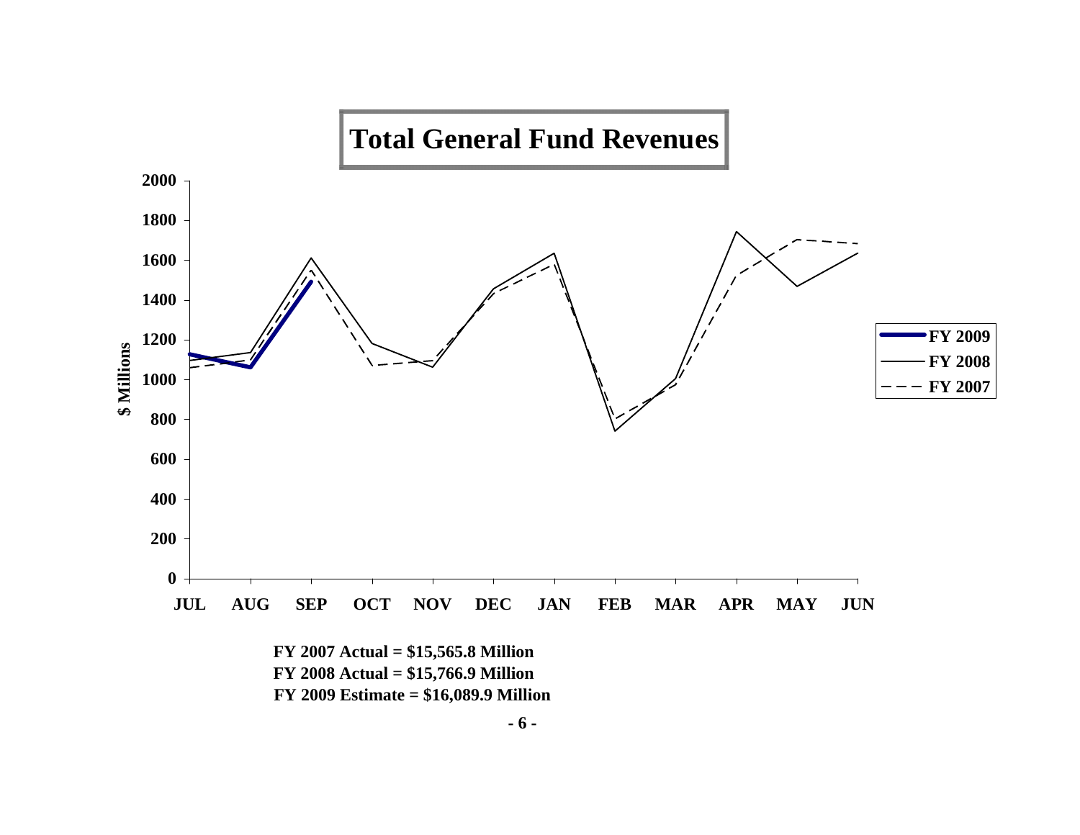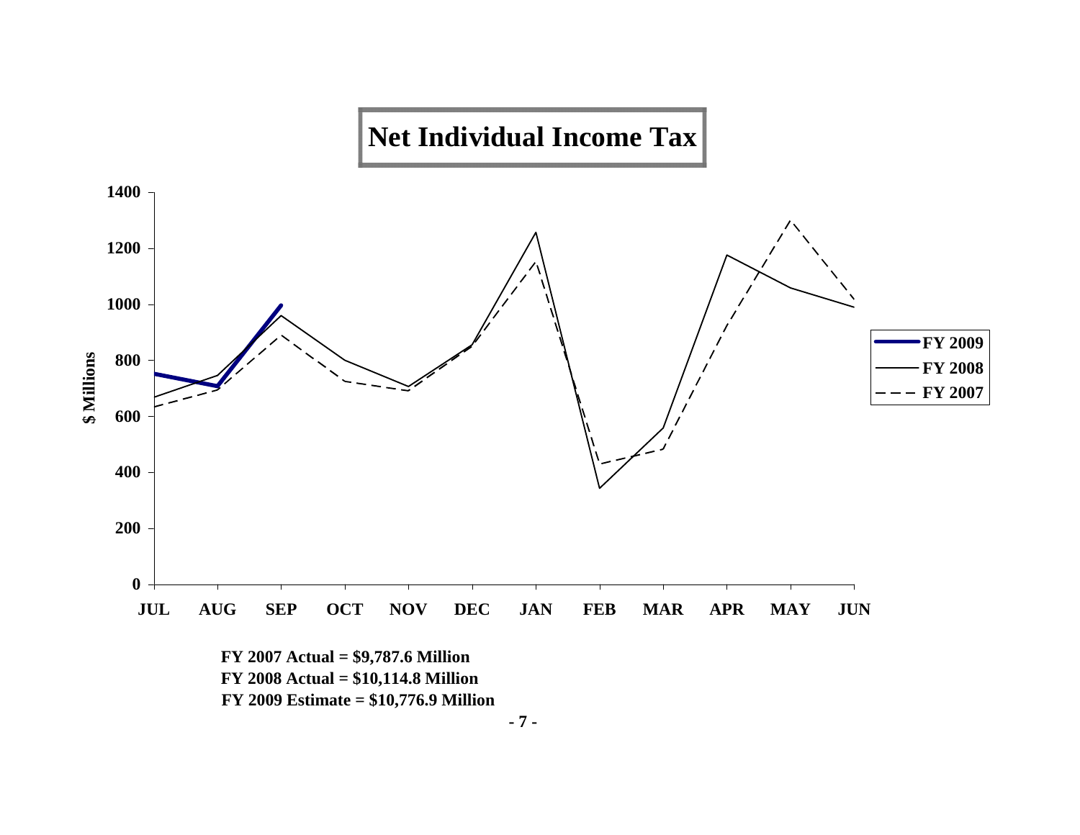

 **FY 2009 Estimate = \$10,776.9 Million**

**- 7 -**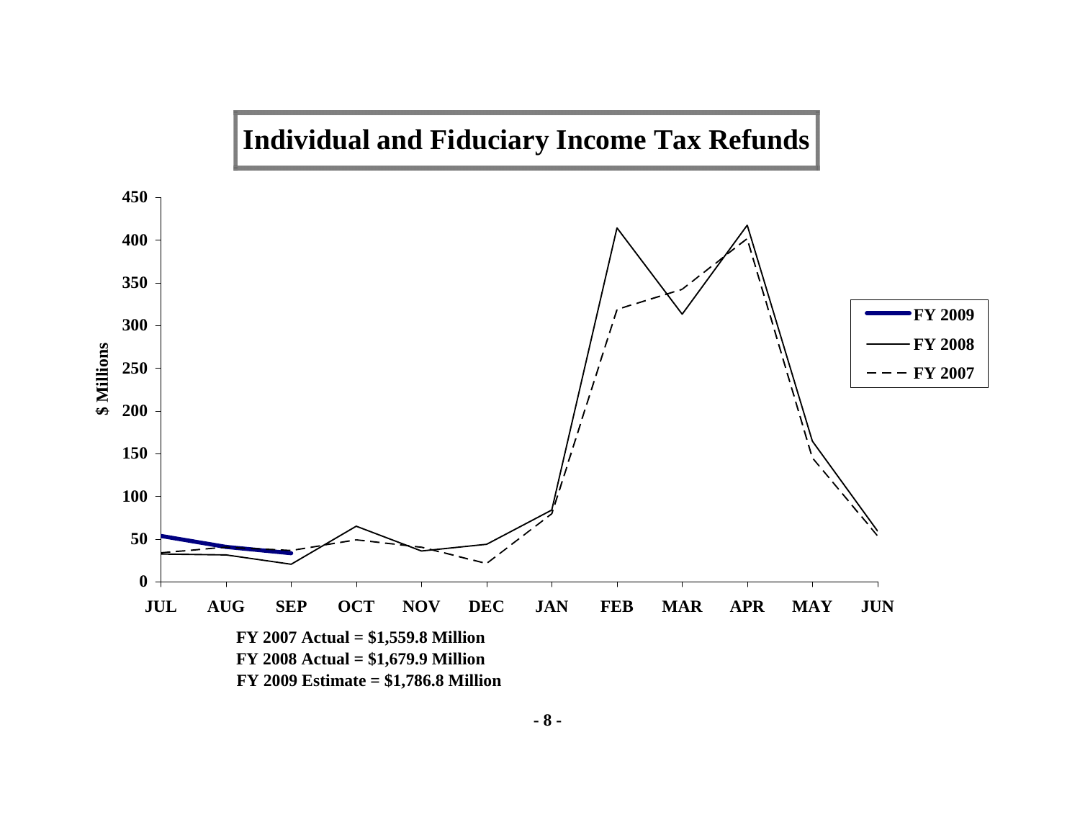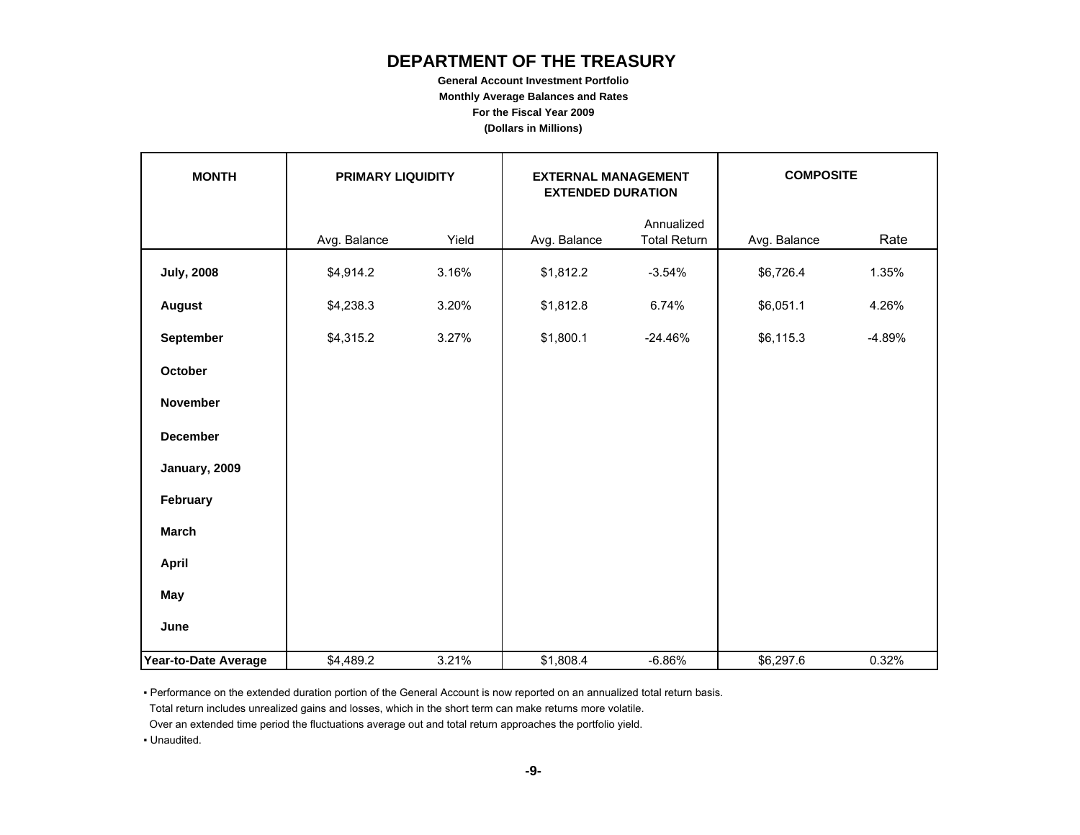# **DEPARTMENT OF THE TREASURY**

**General Account Investment Portfolio Monthly Average Balances and Rates For the Fiscal Year 2009 (Dollars in Millions)**

| <b>MONTH</b>         |              | <b>COMPOSITE</b><br>PRIMARY LIQUIDITY<br><b>EXTERNAL MANAGEMENT</b><br><b>EXTENDED DURATION</b> |              |                                   |              |          |
|----------------------|--------------|-------------------------------------------------------------------------------------------------|--------------|-----------------------------------|--------------|----------|
|                      | Avg. Balance | Yield                                                                                           | Avg. Balance | Annualized<br><b>Total Return</b> | Avg. Balance | Rate     |
| <b>July, 2008</b>    | \$4,914.2    | 3.16%                                                                                           | \$1,812.2    | $-3.54%$                          | \$6,726.4    | 1.35%    |
| <b>August</b>        | \$4,238.3    | 3.20%                                                                                           | \$1,812.8    | 6.74%                             | \$6,051.1    | 4.26%    |
| September            | \$4,315.2    | 3.27%                                                                                           | \$1,800.1    | $-24.46%$                         | \$6,115.3    | $-4.89%$ |
| <b>October</b>       |              |                                                                                                 |              |                                   |              |          |
| November             |              |                                                                                                 |              |                                   |              |          |
| <b>December</b>      |              |                                                                                                 |              |                                   |              |          |
| January, 2009        |              |                                                                                                 |              |                                   |              |          |
| February             |              |                                                                                                 |              |                                   |              |          |
| <b>March</b>         |              |                                                                                                 |              |                                   |              |          |
| <b>April</b>         |              |                                                                                                 |              |                                   |              |          |
| May                  |              |                                                                                                 |              |                                   |              |          |
| June                 |              |                                                                                                 |              |                                   |              |          |
| Year-to-Date Average | \$4,489.2    | 3.21%                                                                                           | \$1,808.4    | $-6.86%$                          | \$6,297.6    | 0.32%    |

▪ Performance on the extended duration portion of the General Account is now reported on an annualized total return basis.

Total return includes unrealized gains and losses, which in the short term can make returns more volatile.

Over an extended time period the fluctuations average out and total return approaches the portfolio yield.

▪ Unaudited.